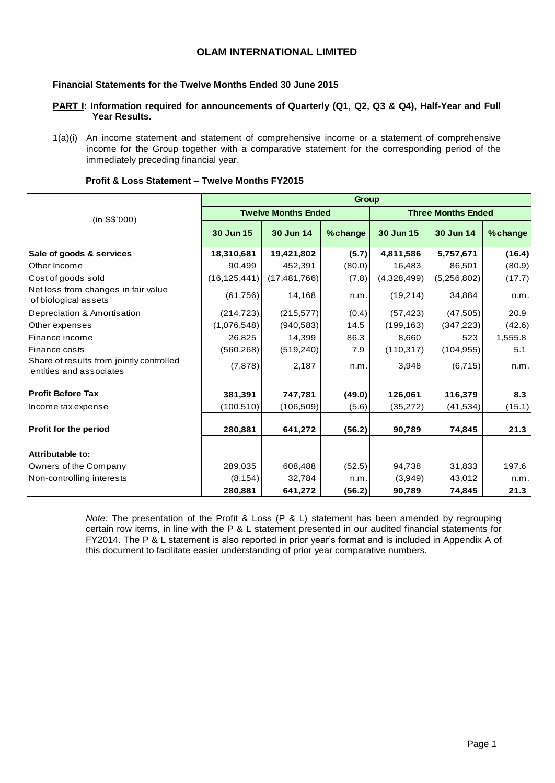# **OLAM INTERNATIONAL LIMITED**

### **Financial Statements for the Twelve Months Ended 30 June 2015**

- **PART I: Information required for announcements of Quarterly (Q1, Q2, Q3 & Q4), Half-Year and Full Year Results.**
- 1(a)(i) An income statement and statement of comprehensive income or a statement of comprehensive income for the Group together with a comparative statement for the corresponding period of the immediately preceding financial year.

|                                                                     | Group          |                            |         |             |                           |          |  |  |  |  |  |
|---------------------------------------------------------------------|----------------|----------------------------|---------|-------------|---------------------------|----------|--|--|--|--|--|
| (in S\$'000)                                                        |                | <b>Twelve Months Ended</b> |         |             | <b>Three Months Ended</b> |          |  |  |  |  |  |
|                                                                     | 30 Jun 15      | 30 Jun 14                  | %change | 30 Jun 15   | 30 Jun 14                 | % change |  |  |  |  |  |
| Sale of goods & services                                            | 18,310,681     | 19,421,802                 | (5.7)   | 4,811,586   | 5,757,671                 | (16.4)   |  |  |  |  |  |
| Other Income                                                        | 90,499         | 452,391                    | (80.0)  | 16,483      | 86,501                    | (80.9)   |  |  |  |  |  |
| Cost of goods sold                                                  | (16, 125, 441) | (17, 481, 766)             | (7.8)   | (4,328,499) | (5,256,802)               | (17.7)   |  |  |  |  |  |
| Net loss from changes in fair value<br>of biological assets         | (61, 756)      | 14,168                     | n.m.    | (19,214)    | 34,884                    | n.m.     |  |  |  |  |  |
| Depreciation & Amortisation                                         | (214, 723)     | (215, 577)                 | (0.4)   | (57, 423)   | (47, 505)                 | 20.9     |  |  |  |  |  |
| Other expenses                                                      | (1,076,548)    | (940, 583)                 | 14.5    | (199, 163)  | (347, 223)                | (42.6)   |  |  |  |  |  |
| Finance income                                                      | 26,825         | 14,399                     | 86.3    | 8,660       | 523                       | 1,555.8  |  |  |  |  |  |
| <b>Finance costs</b>                                                | (560, 268)     | (519, 240)                 | 7.9     | (110, 317)  | (104, 955)                | 5.1      |  |  |  |  |  |
| Share of results from jointly controlled<br>entities and associates | (7, 878)       | 2,187                      | n.m.    | 3,948       | (6, 715)                  | n.m.     |  |  |  |  |  |
| <b>Profit Before Tax</b>                                            | 381,391        | 747,781                    | (49.0)  | 126,061     | 116,379                   | 8.3      |  |  |  |  |  |
| Income tax expense                                                  | (100, 510)     | (106, 509)                 | (5.6)   | (35, 272)   | (41, 534)                 | (15.1)   |  |  |  |  |  |
| <b>Profit for the period</b>                                        | 280,881        | 641,272                    | (56.2)  | 90,789      | 74,845                    | 21.3     |  |  |  |  |  |
| Attributable to:                                                    |                |                            |         |             |                           |          |  |  |  |  |  |
| Owners of the Company                                               | 289,035        | 608,488                    | (52.5)  | 94,738      | 31,833                    | 197.6    |  |  |  |  |  |
| Non-controlling interests                                           | (8, 154)       | 32,784                     | n.m     | (3,949)     | 43,012                    | n.m.     |  |  |  |  |  |
|                                                                     | 280,881        | 641,272                    | (56.2)  | 90,789      | 74,845                    | 21.3     |  |  |  |  |  |

#### **Profit & Loss Statement – Twelve Months FY2015**

*Note:* The presentation of the Profit & Loss (P & L) statement has been amended by regrouping certain row items, in line with the P & L statement presented in our audited financial statements for FY2014. The P & L statement is also reported in prior year's format and is included in Appendix A of this document to facilitate easier understanding of prior year comparative numbers.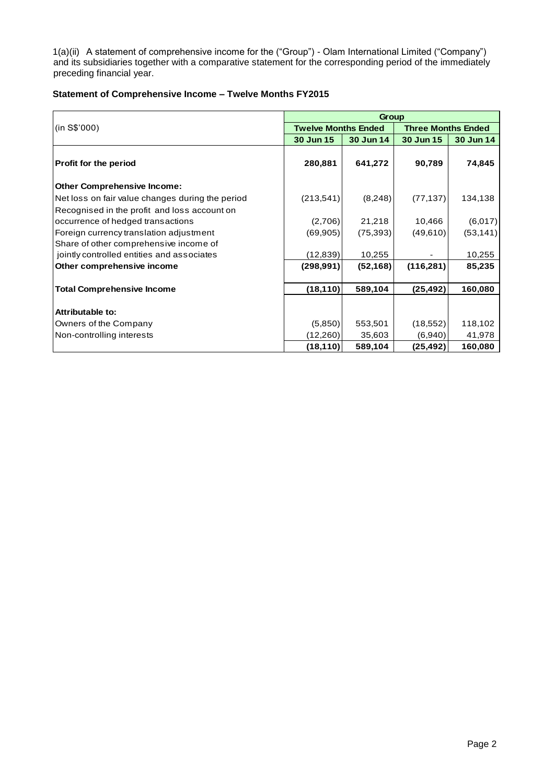1(a)(ii) A statement of comprehensive income for the ("Group") - Olam International Limited ("Company") and its subsidiaries together with a comparative statement for the corresponding period of the immediately preceding financial year.

## **Statement of Comprehensive Income – Twelve Months FY2015**

|                                                  |                            | Group     |                           |           |  |  |
|--------------------------------------------------|----------------------------|-----------|---------------------------|-----------|--|--|
| (in S\$'000)                                     | <b>Twelve Months Ended</b> |           | <b>Three Months Ended</b> |           |  |  |
|                                                  | 30 Jun 15                  | 30 Jun 14 | 30 Jun 15                 | 30 Jun 14 |  |  |
| Profit for the period                            | 280,881                    | 641,272   | 90,789                    | 74,845    |  |  |
| <b>Other Comprehensive Income:</b>               |                            |           |                           |           |  |  |
| Net loss on fair value changes during the period | (213,541)                  | (8,248)   | (77, 137)                 | 134,138   |  |  |
| Recognised in the profit and loss account on     |                            |           |                           |           |  |  |
| occurrence of hedged transactions                | (2,706)                    | 21,218    | 10,466                    | (6,017)   |  |  |
| Foreign currency translation adjustment          | (69, 905)                  | (75, 393) | (49,610)                  | (53, 141) |  |  |
| Share of other comprehensive income of           |                            |           |                           |           |  |  |
| jointly controlled entities and associates       | (12, 839)                  | 10,255    |                           | 10,255    |  |  |
| Other comprehensive income                       | (298, 991)                 | (52, 168) | (116, 281)                | 85,235    |  |  |
| <b>Total Comprehensive Income</b>                | (18, 110)                  | 589,104   | (25, 492)                 | 160,080   |  |  |
| <b>Attributable to:</b>                          |                            |           |                           |           |  |  |
| Owners of the Company                            | (5,850)                    | 553,501   | (18, 552)                 | 118,102   |  |  |
| Non-controlling interests                        | (12,260)                   | 35,603    | (6,940)                   | 41,978    |  |  |
|                                                  | (18, 110)                  | 589,104   | (25, 492)                 | 160,080   |  |  |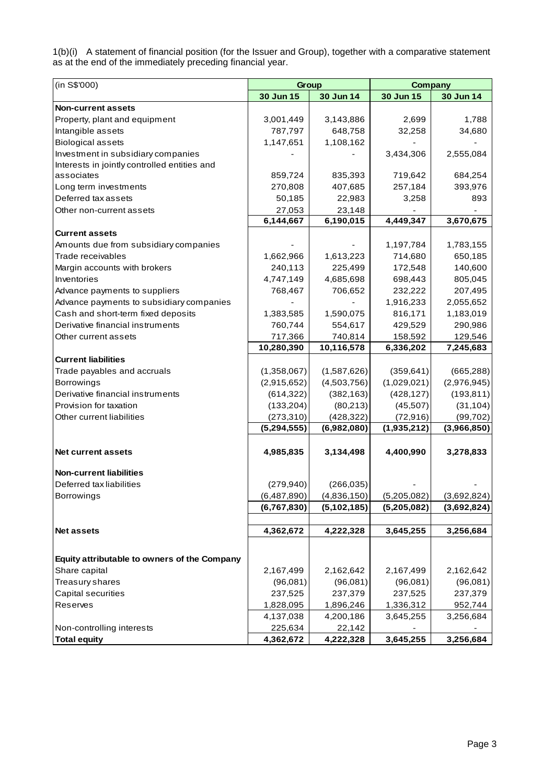1(b)(i) A statement of financial position (for the Issuer and Group), together with a comparative statement as at the end of the immediately preceding financial year.

| (in S\$'000)                                 | Group         |             | <b>Company</b> |             |
|----------------------------------------------|---------------|-------------|----------------|-------------|
|                                              | 30 Jun 15     | 30 Jun 14   | 30 Jun 15      | 30 Jun 14   |
| <b>Non-current assets</b>                    |               |             |                |             |
| Property, plant and equipment                | 3,001,449     | 3,143,886   | 2,699          | 1,788       |
| Intangible assets                            | 787,797       | 648,758     | 32,258         | 34,680      |
| <b>Biological assets</b>                     | 1,147,651     | 1,108,162   |                |             |
| Investment in subsidiary companies           |               |             | 3,434,306      | 2,555,084   |
| Interests in jointly controlled entities and |               |             |                |             |
| associates                                   | 859,724       | 835,393     | 719,642        | 684,254     |
| Long term investments                        | 270,808       | 407,685     | 257,184        | 393,976     |
| Deferred tax assets                          | 50,185        | 22,983      | 3,258          | 893         |
| Other non-current assets                     | 27,053        | 23,148      |                |             |
|                                              | 6,144,667     | 6,190,015   | 4,449,347      | 3,670,675   |
| <b>Current assets</b>                        |               |             |                |             |
| Amounts due from subsidiary companies        |               |             | 1,197,784      | 1,783,155   |
| Trade receivables                            | 1,662,966     | 1,613,223   | 714,680        | 650,185     |
| Margin accounts with brokers                 | 240,113       | 225,499     | 172,548        | 140,600     |
| Inventories                                  | 4,747,149     | 4,685,698   | 698,443        | 805,045     |
| Advance payments to suppliers                | 768,467       | 706,652     | 232,222        | 207,495     |
| Advance payments to subsidiary companies     |               |             | 1,916,233      | 2,055,652   |
| Cash and short-term fixed deposits           | 1,383,585     | 1,590,075   | 816,171        | 1,183,019   |
| Derivative financial instruments             | 760,744       | 554,617     | 429,529        | 290,986     |
| Other current assets                         | 717,366       | 740,814     | 158,592        | 129,546     |
|                                              | 10,280,390    | 10,116,578  | 6,336,202      | 7,245,683   |
| <b>Current liabilities</b>                   |               |             |                |             |
| Trade payables and accruals                  | (1,358,067)   | (1,587,626) | (359, 641)     | (665, 288)  |
| Borrowings                                   | (2,915,652)   | (4,503,756) | (1,029,021)    | (2,976,945) |
| Derivative financial instruments             | (614, 322)    | (382, 163)  | (428, 127)     | (193, 811)  |
| Provision for taxation                       | (133, 204)    | (80, 213)   | (45, 507)      | (31, 104)   |
| Other current liabilities                    | (273, 310)    | (428, 322)  | (72, 916)      | (99, 702)   |
|                                              | (5, 294, 555) | (6,982,080) | (1,935,212)    | (3,966,850) |
|                                              |               |             |                |             |
| <b>Net current assets</b>                    | 4,985,835     | 3,134,498   | 4,400,990      | 3,278,833   |
| <b>Non-current liabilities</b>               |               |             |                |             |
| Deferred tax liabilities                     |               | (266, 035)  |                |             |
|                                              | (279, 940)    |             |                |             |
| Borrowings                                   | (6,487,890)   | (4,836,150) | (5,205,082)    | (3,692,824) |
|                                              | (6,767,830)   | (5,102,185) | (5,205,082)    | (3,692,824) |
| <b>Net assets</b>                            | 4,362,672     | 4,222,328   | 3,645,255      | 3,256,684   |
|                                              |               |             |                |             |
|                                              |               |             |                |             |
| Equity attributable to owners of the Company |               |             |                |             |
| Share capital                                | 2,167,499     | 2,162,642   | 2,167,499      | 2,162,642   |
| Treasury shares                              | (96,081)      | (96,081)    | (96,081)       | (96,081)    |
| Capital securities                           | 237,525       | 237,379     | 237,525        | 237,379     |
| Reserves                                     | 1,828,095     | 1,896,246   | 1,336,312      | 952,744     |
|                                              | 4,137,038     | 4,200,186   | 3,645,255      | 3,256,684   |
| Non-controlling interests                    | 225,634       | 22,142      |                |             |
| <b>Total equity</b>                          | 4,362,672     | 4,222,328   | 3,645,255      | 3,256,684   |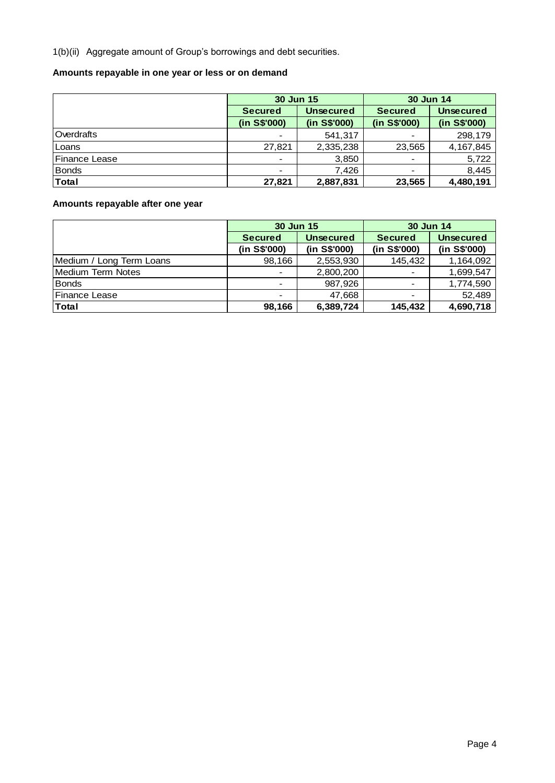1(b)(ii) Aggregate amount of Group's borrowings and debt securities.

# **Amounts repayable in one year or less or on demand**

|                       | 30 Jun 15      |                  | 30 Jun 14      |                  |
|-----------------------|----------------|------------------|----------------|------------------|
|                       | <b>Secured</b> | <b>Unsecured</b> | <b>Secured</b> | <b>Unsecured</b> |
|                       | (in S\$'000)   | (in S\$'000)     | (in S\$'000)   | (in S\$'000)     |
| Overdrafts            | $\blacksquare$ | 541,317          |                | 298,179          |
| Loans                 | 27,821         | 2,335,238        | 23,565         | 4, 167, 845      |
| <b>IFinance Lease</b> | $\blacksquare$ | 3,850            |                | 5,722            |
| <b>Bonds</b>          | $\blacksquare$ | 7.426            |                | 8,445            |
| <b>Total</b>          | 27,821         | 2,887,831        | 23,565         | 4,480,191        |

# **Amounts repayable after one year**

|                          | 30 Jun 15      |                  | 30 Jun 14                |                  |
|--------------------------|----------------|------------------|--------------------------|------------------|
|                          | <b>Secured</b> | <b>Unsecured</b> | <b>Secured</b>           | <b>Unsecured</b> |
|                          | (in S\$'000)   | (in S\$'000)     | (in S\$'000)             | (in S\$'000)     |
| Medium / Long Term Loans | 98,166         | 2,553,930        | 145,432                  | 1,164,092        |
| <b>Medium Term Notes</b> | $\blacksquare$ | 2,800,200        | $\overline{\phantom{a}}$ | 1,699,547        |
| <b>Bonds</b>             | $\blacksquare$ | 987,926          |                          | 1,774,590        |
| Finance Lease            | $\,$           | 47,668           |                          | 52,489           |
| Total                    | 98,166         | 6,389,724        | 145,432                  | 4,690,718        |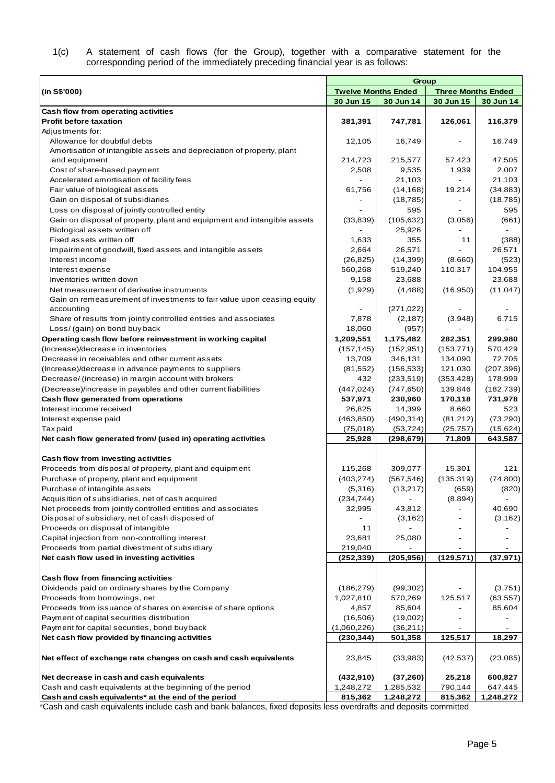#### 1(c) A statement of cash flows (for the Group), together with a comparative statement for the corresponding period of the immediately preceding financial year is as follows:

|                                                                         | Group                      |            |                           |            |  |  |  |
|-------------------------------------------------------------------------|----------------------------|------------|---------------------------|------------|--|--|--|
| (in S\$'000)                                                            | <b>Twelve Months Ended</b> |            | <b>Three Months Ended</b> |            |  |  |  |
|                                                                         | 30 Jun 15                  | 30 Jun 14  | 30 Jun 15                 | 30 Jun 14  |  |  |  |
| Cash flow from operating activities                                     |                            |            |                           |            |  |  |  |
| <b>Profit before taxation</b>                                           | 381,391                    | 747,781    | 126,061                   | 116,379    |  |  |  |
| Adjustments for:                                                        |                            |            |                           |            |  |  |  |
| Allowance for doubtful debts                                            | 12,105                     | 16,749     |                           | 16,749     |  |  |  |
| Amortisation of intangible assets and depreciation of property, plant   |                            |            |                           |            |  |  |  |
| and equipment                                                           | 214,723                    | 215,577    | 57,423                    | 47,505     |  |  |  |
| Cost of share-based payment                                             | 2,508                      | 9,535      | 1,939                     | 2,007      |  |  |  |
| Accelerated amortisation of facility fees                               |                            | 21,103     | $\overline{\phantom{0}}$  | 21,103     |  |  |  |
| Fair value of biological assets                                         | 61,756                     | (14, 168)  | 19,214                    | (34, 883)  |  |  |  |
| Gain on disposal of subsidiaries                                        |                            | (18, 785)  |                           | (18, 785)  |  |  |  |
| Loss on disposal of jointly controlled entity                           |                            | 595        |                           | 595        |  |  |  |
| Gain on disposal of property, plant and equipment and intangible assets | (33, 839)                  | (105, 632) | (3,056)                   | (661)      |  |  |  |
| Biological assets written off                                           |                            | 25,926     |                           |            |  |  |  |
| Fixed assets written off                                                | 1,633                      | 355        | 11                        | (388)      |  |  |  |
| Impairment of goodwill, fixed assets and intangible assets              | 2,664                      | 26,571     |                           | 26,571     |  |  |  |
| Interest income                                                         | (26, 825)                  | (14, 399)  | (8,660)                   | (523)      |  |  |  |
| Interest expense                                                        | 560,268                    | 519,240    | 110,317                   | 104,955    |  |  |  |
| Inventories written down                                                | 9,158                      | 23,688     |                           | 23,688     |  |  |  |
| Net measurement of derivative instruments                               | (1,929)                    | (4, 488)   | (16,950)                  | (11, 047)  |  |  |  |
| Gain on remeasurement of investments to fair value upon ceasing equity  |                            |            |                           |            |  |  |  |
| accounting                                                              |                            | (271, 022) |                           |            |  |  |  |
| Share of results from jointly controlled entities and associates        | 7,878                      | (2, 187)   | (3,948)                   | 6,715      |  |  |  |
| Loss/ (gain) on bond buy back                                           | 18,060                     | (957)      |                           |            |  |  |  |
| Operating cash flow before reinvestment in working capital              | 1,209,551                  | 1,175,482  | 282,351                   | 299,980    |  |  |  |
| (Increase)/decrease in inventories                                      | (157, 145)                 | (152, 951) | (153, 771)                | 570,429    |  |  |  |
| Decrease in receivables and other current assets                        | 13,709                     | 346,131    | 134,090                   | 72,705     |  |  |  |
| (Increase)/decrease in advance payments to suppliers                    | (81, 552)                  | (156, 533) | 121,030                   | (207, 396) |  |  |  |
| Decrease/ (increase) in margin account with brokers                     | 432                        | (233, 519) | (353, 428)                | 178,999    |  |  |  |
| (Decrease)/increase in payables and other current liabilities           | (447, 024)                 | (747, 650) | 139,846                   | (182, 739) |  |  |  |
| Cash flow generated from operations                                     | 537,971                    | 230,960    | 170,118                   | 731,978    |  |  |  |
| Interest income received                                                | 26,825                     | 14,399     | 8,660                     | 523        |  |  |  |
| Interest expense paid                                                   | (463, 850)                 | (490, 314) | (81,212)                  | (73, 290)  |  |  |  |
| <b>Taxpaid</b>                                                          | (75,018)                   | (53, 724)  | (25, 757)                 | (15, 624)  |  |  |  |
| Net cash flow generated from/ (used in) operating activities            | 25,928                     | (298, 679) | 71,809                    | 643,587    |  |  |  |
|                                                                         |                            |            |                           |            |  |  |  |
| Cash flow from investing activities                                     |                            |            |                           |            |  |  |  |
| Proceeds from disposal of property, plant and equipment                 | 115,268                    | 309,077    | 15,301                    | 121        |  |  |  |
| Purchase of property, plant and equipment                               | (403, 274)                 | (567, 546) | (135, 319)                | (74, 800)  |  |  |  |
| Purchase of intangible assets                                           | (5,316)                    | (13,217)   | (659)                     | (820)      |  |  |  |
| Acquisition of subsidiaries, net of cash acquired                       | (234, 744)                 |            | (8,894)                   |            |  |  |  |
| Net proceeds from jointly controlled entities and associates            | 32,995                     | 43,812     |                           | 40,690     |  |  |  |
| Disposal of subsidiary, net of cash disposed of                         |                            | (3, 162)   |                           | (3, 162)   |  |  |  |
| Proceeds on disposal of intangible                                      | 11                         |            |                           |            |  |  |  |
| Capital injection from non-controlling interest                         | 23,681                     | 25,080     |                           |            |  |  |  |
| Proceeds from partial divestment of subsidiary                          | 219,040                    |            |                           |            |  |  |  |
| Net cash flow used in investing activities                              | (252, 339)                 | (205, 956) | (129, 571)                | (37, 971)  |  |  |  |
|                                                                         |                            |            |                           |            |  |  |  |
| Cash flow from financing activities                                     |                            |            |                           |            |  |  |  |
| Dividends paid on ordinary shares by the Company                        | (186, 279)                 | (99,302)   |                           | (3,751)    |  |  |  |
| Proceeds from borrowings, net                                           | 1,027,810                  | 570,269    | 125,517                   | (63, 557)  |  |  |  |
| Proceeds from issuance of shares on exercise of share options           | 4,857                      | 85,604     |                           | 85,604     |  |  |  |
| Payment of capital securities distribution                              | (16,506)                   | (19,002)   |                           |            |  |  |  |
| Payment for capital securities, bond buy back                           | (1,060,226)                | (36,211)   |                           |            |  |  |  |
| Net cash flow provided by financing activities                          | (230, 344)                 | 501,358    | 125,517                   | 18,297     |  |  |  |
| Net effect of exchange rate changes on cash and cash equivalents        | 23,845                     | (33,983)   | (42, 537)                 | (23,085)   |  |  |  |
|                                                                         |                            |            |                           |            |  |  |  |
| Net decrease in cash and cash equivalents                               | (432, 910)                 | (37,260)   | 25,218                    | 600,827    |  |  |  |
| Cash and cash equivalents at the beginning of the period                | 1,248,272                  | 1,285,532  | 790,144                   | 647,445    |  |  |  |
| Cash and cash equivalents* at the end of the period                     | 815,362                    | 1,248,272  | 815,362                   | 1,248,272  |  |  |  |

\*Cash and cash equivalents include cash and bank balances, fixed deposits less overdrafts and deposits committed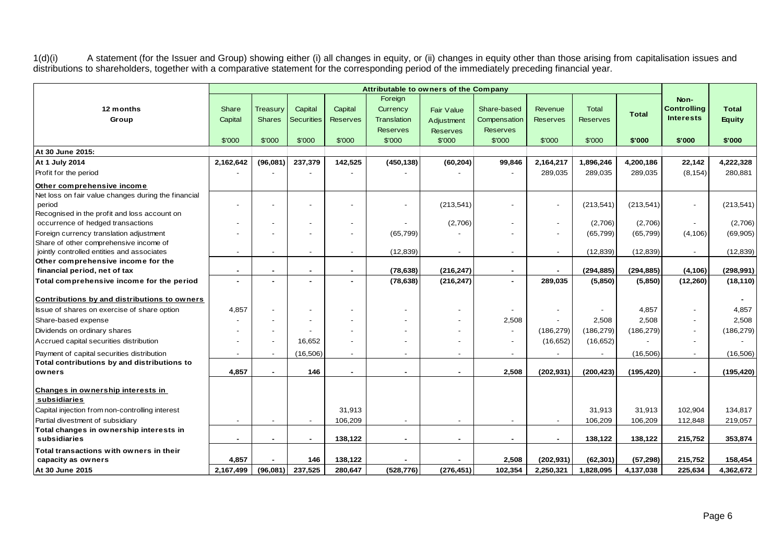1(d)(i) A statement (for the Issuer and Group) showing either (i) all changes in equity, or (ii) changes in equity other than those arising from capitalisation issues and distributions to shareholders, together with a comparative statement for the corresponding period of the immediately preceding financial year.

|                                                     |                          |               |                          |                 | Foreign                  |                 |                       |                          |                 |              | Non-                     |               |
|-----------------------------------------------------|--------------------------|---------------|--------------------------|-----------------|--------------------------|-----------------|-----------------------|--------------------------|-----------------|--------------|--------------------------|---------------|
| 12 months                                           | Share                    | Treasury      | Capital                  | Capital         | Currency                 | Fair Value      | Share-based           | Revenue                  | <b>Total</b>    | <b>Total</b> | <b>Controlling</b>       | <b>Total</b>  |
| Group                                               | Capital                  | <b>Shares</b> | <b>Securities</b>        | <b>Reserves</b> | <b>Translation</b>       | Adjustment      | Compensation          | <b>Reserves</b>          | <b>Reserves</b> |              | <b>Interests</b>         | <b>Equity</b> |
|                                                     |                          |               |                          |                 | <b>Reserves</b>          | <b>Reserves</b> | <b>Reserves</b>       |                          |                 |              |                          |               |
|                                                     | \$'000                   | \$'000        | \$'000                   | \$'000          | \$'000                   | \$'000          | \$'000                | \$'000                   | \$'000          | \$'000       | \$'000                   | \$'000        |
| At 30 June 2015:                                    |                          |               |                          |                 |                          |                 |                       |                          |                 |              |                          |               |
| At 1 July 2014                                      | 2,162,642                | (96,081)      | 237,379                  | 142,525         | (450, 138)               | (60, 204)       | 99,846                | 2,164,217                | 1,896,246       | 4,200,186    | 22,142                   | 4,222,328     |
| Profit for the period                               |                          |               |                          |                 |                          |                 |                       | 289,035                  | 289,035         | 289,035      | (8, 154)                 | 280,881       |
| Other comprehensive income                          |                          |               |                          |                 |                          |                 |                       |                          |                 |              |                          |               |
| Net loss on fair value changes during the financial |                          |               |                          |                 |                          |                 |                       |                          |                 |              |                          |               |
| period                                              |                          |               |                          |                 | $\overline{\phantom{0}}$ | (213, 541)      |                       | $\overline{a}$           | (213, 541)      | (213, 541)   | $\overline{a}$           | (213, 541)    |
| Recognised in the profit and loss account on        |                          |               |                          |                 |                          |                 |                       |                          |                 |              |                          |               |
| occurrence of hedged transactions                   |                          |               |                          |                 |                          | (2,706)         |                       | $\blacksquare$           | (2,706)         | (2,706)      | $\sim$                   | (2,706)       |
| Foreign currency translation adjustment             |                          |               |                          |                 | (65, 799)                |                 |                       | $\overline{\phantom{a}}$ | (65, 799)       | (65, 799)    | (4, 106)                 | (69,905)      |
| Share of other comprehensive income of              |                          |               |                          |                 |                          |                 |                       |                          |                 |              |                          |               |
| jointly controlled entities and associates          |                          |               |                          |                 | (12, 839)                |                 |                       | $\blacksquare$           | (12, 839)       | (12, 839)    | $\overline{\phantom{a}}$ | (12, 839)     |
| Other comprehensive income for the                  |                          |               |                          |                 |                          |                 |                       |                          |                 |              |                          |               |
| financial period, net of tax                        | $\blacksquare$           |               | ٠                        | $\blacksquare$  | (78, 638)                | (216, 247)      | $\blacksquare$        |                          | (294, 885)      | (294, 885)   | (4, 106)                 | (298, 991)    |
| Total comprehensive income for the period           |                          |               |                          |                 | (78, 638)                | (216, 247)      | $\blacksquare$        | 289,035                  | (5,850)         | (5,850)      | (12, 260)                | (18, 110)     |
| Contributions by and distributions to owners        |                          |               |                          |                 |                          |                 |                       |                          |                 |              |                          |               |
| Issue of shares on exercise of share option         | 4,857                    |               |                          |                 |                          |                 |                       | $\overline{a}$           |                 | 4,857        |                          | 4,857         |
| Share-based expense                                 |                          |               |                          |                 |                          |                 | 2,508                 |                          | 2,508           | 2,508        |                          | 2,508         |
| Dividends on ordinary shares                        |                          |               |                          |                 |                          |                 |                       | (186, 279)               | (186, 279)      | (186, 279)   |                          | (186, 279)    |
| Accrued capital securities distribution             |                          |               | 16,652                   |                 |                          |                 |                       | (16, 652)                | (16, 652)       |              |                          |               |
| Payment of capital securities distribution          |                          |               | (16, 506)                |                 |                          |                 |                       |                          |                 | (16, 506)    | $\overline{\phantom{a}}$ | (16,506)      |
| Total contributions by and distributions to         |                          |               |                          |                 |                          |                 |                       |                          |                 |              |                          |               |
| owners                                              | 4.857                    |               | 146                      |                 |                          |                 | 2,508                 | (202, 931)               | (200, 423)      | (195, 420)   | $\sim$                   | (195, 420)    |
| Changes in ownership interests in                   |                          |               |                          |                 |                          |                 |                       |                          |                 |              |                          |               |
| subsidiaries                                        |                          |               |                          |                 |                          |                 |                       |                          |                 |              |                          |               |
| Capital injection from non-controlling interest     |                          |               |                          | 31,913          |                          |                 |                       |                          | 31,913          | 31,913       | 102,904                  | 134,817       |
| Partial divestment of subsidiary                    | $\overline{\phantom{a}}$ |               | $\overline{\phantom{a}}$ | 106,209         | $\overline{\phantom{a}}$ |                 |                       | $\blacksquare$           | 106,209         | 106,209      | 112,848                  | 219,057       |
| Total changes in ownership interests in             |                          |               |                          |                 |                          |                 |                       |                          |                 |              |                          |               |
| subsidiaries                                        | $\sim$                   | $\sim$        | ٠                        | 138,122         | $\blacksquare$           | $\sim$          | $\tilde{\phantom{a}}$ | $\sim$                   | 138,122         | 138,122      | 215,752                  | 353,874       |
| Total transactions with owners in their             |                          |               |                          |                 |                          |                 |                       |                          |                 |              |                          |               |
| capacity as owners                                  | 4,857                    |               | 146                      | 138,122         |                          |                 | 2,508                 | (202, 931)               | (62, 301)       | (57, 298)    | 215,752                  | 158,454       |
| At 30 June 2015                                     | 2,167,499                | (96,081)      | 237,525                  | 280,647         | (528, 776)               | (276, 451)      | 102,354               | 2,250,321                | 1,828,095       | 4,137,038    | 225,634                  | 4,362,672     |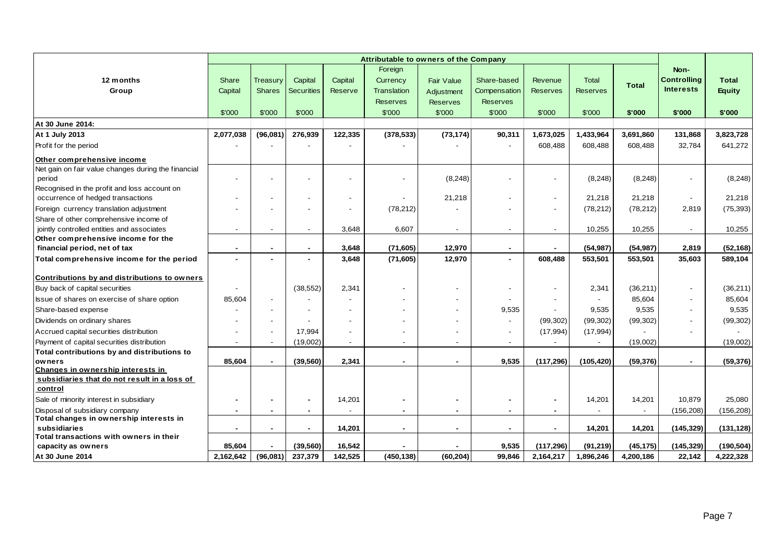|                                                               |                          |               |                   |                | Foreign                  |                          |                          |                          |                 |              | Non-                     |               |
|---------------------------------------------------------------|--------------------------|---------------|-------------------|----------------|--------------------------|--------------------------|--------------------------|--------------------------|-----------------|--------------|--------------------------|---------------|
| 12 months                                                     | Share                    | Treasury      | Capital           | Capital        | Currency                 | Fair Value               | Share-based              | Revenue                  | <b>Total</b>    | <b>Total</b> | <b>Controlling</b>       | <b>Total</b>  |
| Group                                                         | Capital                  | <b>Shares</b> | <b>Securities</b> | Reserve        | <b>Translation</b>       | Adjustment               | Compensation             | <b>Reserves</b>          | <b>Reserves</b> |              | <b>Interests</b>         | <b>Equity</b> |
|                                                               |                          |               |                   |                | <b>Reserves</b>          | <b>Reserves</b>          | <b>Reserves</b>          |                          |                 |              |                          |               |
|                                                               | \$'000                   | \$'000        | \$'000            |                | \$'000                   | \$'000                   | \$'000                   | \$'000                   | \$'000          | \$'000       | \$'000                   | \$'000        |
| At 30 June 2014:                                              |                          |               |                   |                |                          |                          |                          |                          |                 |              |                          |               |
| At 1 July 2013                                                | 2,077,038                | (96, 081)     | 276,939           | 122,335        | (378, 533)               | (73, 174)                | 90,311                   | 1,673,025                | 1,433,964       | 3,691,860    | 131,868                  | 3,823,728     |
| Profit for the period                                         |                          |               |                   |                |                          |                          |                          | 608,488                  | 608,488         | 608,488      | 32,784                   | 641,272       |
| Other comprehensive income                                    |                          |               |                   |                |                          |                          |                          |                          |                 |              |                          |               |
| Net gain on fair value changes during the financial           |                          |               |                   |                |                          |                          |                          |                          |                 |              |                          |               |
| period                                                        |                          |               |                   |                |                          | (8, 248)                 |                          | ٠                        | (8, 248)        | (8, 248)     | $\overline{\phantom{a}}$ | (8, 248)      |
| Recognised in the profit and loss account on                  |                          |               |                   |                |                          |                          |                          |                          |                 |              |                          |               |
| occurrence of hedged transactions                             |                          |               |                   |                |                          | 21,218                   |                          | $\overline{\phantom{0}}$ | 21,218          | 21,218       | $\sim$                   | 21,218        |
| Foreign currency translation adjustment                       |                          |               |                   |                | (78, 212)                |                          |                          | $\overline{\phantom{a}}$ | (78, 212)       | (78, 212)    | 2,819                    | (75, 393)     |
| Share of other comprehensive income of                        |                          |               |                   |                |                          |                          |                          |                          |                 |              |                          |               |
| jointly controlled entities and associates                    | $\overline{\phantom{a}}$ |               | $\blacksquare$    | 3,648          | 6,607                    | $\overline{\phantom{0}}$ | $\overline{\phantom{a}}$ | $\blacksquare$           | 10,255          | 10,255       | $\sim$                   | 10,255        |
| Other comprehensive income for the                            |                          |               |                   |                |                          |                          |                          |                          |                 |              |                          |               |
| financial period, net of tax                                  | $\blacksquare$           |               | $\blacksquare$    | 3,648          | (71, 605)                | 12,970                   | $\blacksquare$           | ٠                        | (54, 987)       | (54, 987)    | 2,819                    | (52, 168)     |
| Total comprehensive income for the period                     |                          |               |                   | 3,648          | (71, 605)                | 12,970                   |                          | 608,488                  | 553,501         | 553,501      | 35,603                   | 589,104       |
| Contributions by and distributions to owners                  |                          |               |                   |                |                          |                          |                          |                          |                 |              |                          |               |
| Buy back of capital securities                                |                          |               | (38, 552)         | 2,341          |                          |                          | $\overline{\phantom{a}}$ | $\overline{a}$           | 2,341           | (36, 211)    | $\sim$                   | (36,211)      |
| Issue of shares on exercise of share option                   | 85,604                   |               |                   |                |                          |                          |                          |                          |                 | 85,604       | $\overline{a}$           | 85,604        |
| Share-based expense                                           |                          |               |                   |                |                          |                          | 9,535                    | $\overline{a}$           | 9.535           | 9,535        |                          | 9,535         |
| Dividends on ordinary shares                                  |                          |               |                   |                |                          |                          |                          | (99, 302)                | (99, 302)       | (99, 302)    |                          | (99, 302)     |
| Accrued capital securities distribution                       |                          |               | 17,994            |                |                          |                          |                          | (17, 994)                | (17, 994)       |              |                          |               |
| Payment of capital securities distribution                    | $\overline{\phantom{a}}$ |               | (19,002)          | $\blacksquare$ | $\overline{\phantom{a}}$ |                          |                          |                          |                 | (19,002)     |                          | (19,002)      |
| Total contributions by and distributions to                   |                          |               |                   |                |                          |                          |                          |                          |                 |              |                          |               |
| owners                                                        | 85,604                   | $\sim$        | (39, 560)         | 2,341          | $\blacksquare$           | $\sim$                   | 9,535                    | (117, 296)               | (105, 420)      | (59, 376)    | $\sim$                   | (59, 376)     |
| Changes in ownership interests in                             |                          |               |                   |                |                          |                          |                          |                          |                 |              |                          |               |
| subsidiaries that do not result in a loss of                  |                          |               |                   |                |                          |                          |                          |                          |                 |              |                          |               |
| control                                                       |                          |               |                   |                |                          |                          |                          |                          |                 |              |                          |               |
| Sale of minority interest in subsidiary                       | $\blacksquare$           |               | $\blacksquare$    | 14,201         | $\blacksquare$           |                          | $\blacksquare$           | ٠                        | 14,201          | 14,201       | 10,879                   | 25,080        |
| Disposal of subsidiary company                                | $\blacksquare$           |               | $\blacksquare$    |                | $\blacksquare$           | $\sim$                   | $\blacksquare$           | $\blacksquare$           |                 |              | (156, 208)               | (156, 208)    |
| Total changes in ownership interests in                       |                          |               |                   |                |                          |                          |                          |                          |                 |              |                          |               |
| subsidiaries                                                  | $\overline{\phantom{a}}$ |               | $\blacksquare$    | 14,201         | $\blacksquare$           | $\sim$                   | $\blacksquare$           | $\blacksquare$           | 14,201          | 14,201       | (145, 329)               | (131, 128)    |
| Total transactions with owners in their<br>capacity as owners | 85,604                   |               | (39, 560)         | 16,542         |                          |                          | 9,535                    | (117, 296)               | (91, 219)       | (45, 175)    | (145, 329)               | (190, 504)    |
| At 30 June 2014                                               | 2,162,642                | (96,081)      | 237,379           | 142,525        | (450, 138)               | (60, 204)                | 99,846                   | 2,164,217                | 1,896,246       | 4,200,186    | 22,142                   | 4,222,328     |
|                                                               |                          |               |                   |                |                          |                          |                          |                          |                 |              |                          |               |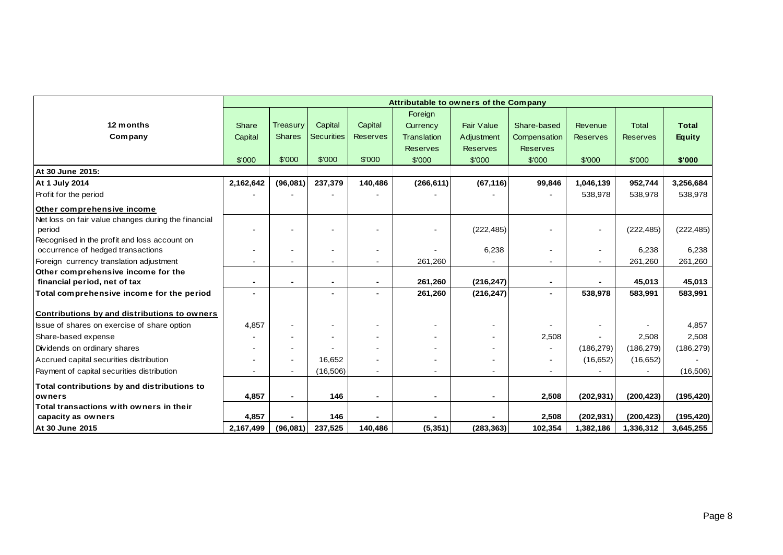|                                                     |                |                          |                          |                 | Attributable to owners of the Company |                   |                 |                 |                 |               |
|-----------------------------------------------------|----------------|--------------------------|--------------------------|-----------------|---------------------------------------|-------------------|-----------------|-----------------|-----------------|---------------|
|                                                     |                |                          |                          |                 | Foreign                               |                   |                 |                 |                 |               |
| 12 months                                           | Share          | <b>Treasury</b>          | Capital                  | Capital         | Currency                              | <b>Fair Value</b> | Share-based     | Revenue         | <b>Total</b>    | <b>Total</b>  |
| Company                                             | Capital        | <b>Shares</b>            | <b>Securities</b>        | <b>Reserves</b> | Translation                           | Adjustment        | Compensation    | <b>Reserves</b> | <b>Reserves</b> | <b>Equity</b> |
|                                                     |                |                          |                          |                 | <b>Reserves</b>                       | <b>Reserves</b>   | <b>Reserves</b> |                 |                 |               |
|                                                     | \$'000         | \$'000                   | \$'000                   | \$'000          | \$'000                                | \$'000            | \$'000          | \$'000          | \$'000          | \$'000        |
| At 30 June 2015:                                    |                |                          |                          |                 |                                       |                   |                 |                 |                 |               |
| <b>At 1 July 2014</b>                               | 2,162,642      | (96,081)                 | 237,379                  | 140,486         | (266, 611)                            | (67, 116)         | 99,846          | 1,046,139       | 952,744         | 3,256,684     |
| <b>Profit for the period</b>                        |                |                          |                          |                 |                                       |                   |                 | 538,978         | 538,978         | 538,978       |
| Other comprehensive income                          |                |                          |                          |                 |                                       |                   |                 |                 |                 |               |
| Net loss on fair value changes during the financial |                |                          |                          |                 |                                       |                   |                 |                 |                 |               |
| period                                              |                |                          |                          |                 |                                       | (222, 485)        |                 | $\sim$          | (222, 485)      | (222, 485)    |
| Recognised in the profit and loss account on        |                |                          |                          |                 |                                       |                   |                 |                 |                 |               |
| occurrence of hedged transactions                   |                | $\overline{\phantom{a}}$ |                          |                 |                                       | 6,238             |                 | $\blacksquare$  | 6,238           | 6,238         |
| Foreign currency translation adjustment             |                |                          |                          | $\blacksquare$  | 261,260                               |                   | ۰               |                 | 261,260         | 261,260       |
| Other comprehensive income for the                  |                |                          |                          |                 |                                       |                   |                 |                 |                 |               |
| financial period, net of tax                        | $\blacksquare$ | $\blacksquare$           | $\overline{\phantom{0}}$ | $\blacksquare$  | 261,260                               | (216, 247)        | $\blacksquare$  | $\blacksquare$  | 45,013          | 45,013        |
| Total comprehensive income for the period           |                |                          |                          |                 | 261,260                               | (216, 247)        |                 | 538,978         | 583,991         | 583,991       |
| Contributions by and distributions to owners        |                |                          |                          |                 |                                       |                   |                 |                 |                 |               |
| Issue of shares on exercise of share option         | 4,857          |                          |                          |                 |                                       |                   |                 |                 |                 | 4,857         |
| Share-based expense                                 |                |                          |                          |                 |                                       |                   | 2,508           |                 | 2,508           | 2,508         |
| Dividends on ordinary shares                        |                |                          |                          |                 |                                       |                   |                 | (186, 279)      | (186, 279)      | (186, 279)    |
| Accrued capital securities distribution             |                | $\blacksquare$           | 16,652                   |                 |                                       |                   |                 | (16, 652)       | (16, 652)       |               |
| Payment of capital securities distribution          |                |                          | (16, 506)                |                 |                                       |                   |                 |                 |                 | (16, 506)     |
| Total contributions by and distributions to         |                |                          |                          |                 |                                       |                   |                 |                 |                 |               |
| owners                                              | 4,857          | $\blacksquare$           | 146                      |                 | $\blacksquare$                        |                   | 2,508           | (202, 931)      | (200, 423)      | (195, 420)    |
| Total transactions with owners in their             |                |                          |                          |                 |                                       |                   |                 |                 |                 |               |
| capacity as owners                                  | 4,857          |                          | 146                      |                 |                                       |                   | 2,508           | (202, 931)      | (200, 423)      | (195, 420)    |
| At 30 June 2015                                     | 2,167,499      | (96,081)                 | 237,525                  | 140,486         | (5, 351)                              | (283, 363)        | 102,354         | 1,382,186       | 1,336,312       | 3,645,255     |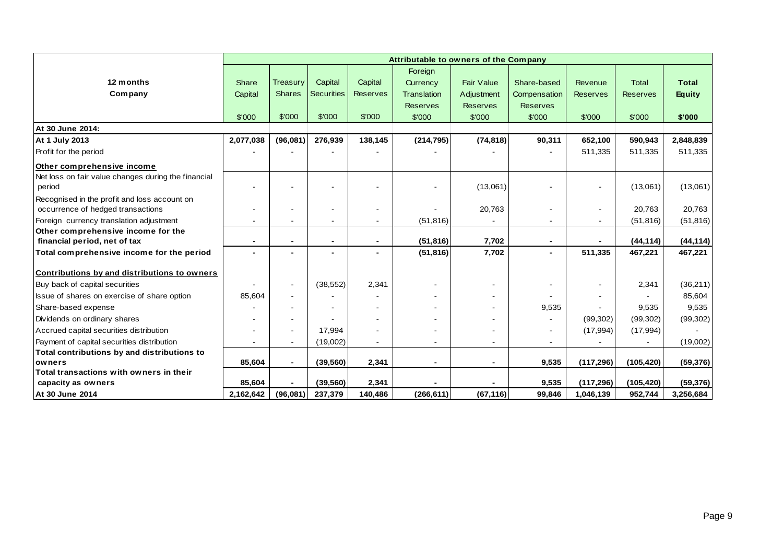|                                                     |                |                          |                   |                 | Attributable to owners of the Company |                   |                 |                          |                 |               |
|-----------------------------------------------------|----------------|--------------------------|-------------------|-----------------|---------------------------------------|-------------------|-----------------|--------------------------|-----------------|---------------|
|                                                     |                |                          |                   |                 | Foreign                               |                   |                 |                          |                 |               |
| 12 months                                           | Share          | Treasury                 | Capital           | Capital         | Currency                              | <b>Fair Value</b> | Share-based     | Revenue                  | <b>Total</b>    | <b>Total</b>  |
| Company                                             | Capital        | <b>Shares</b>            | <b>Securities</b> | <b>Reserves</b> | Translation                           | Adjustment        | Compensation    | <b>Reserves</b>          | <b>Reserves</b> | <b>Equity</b> |
|                                                     |                |                          |                   |                 | <b>Reserves</b>                       | <b>Reserves</b>   | <b>Reserves</b> |                          |                 |               |
|                                                     | \$'000         | \$'000                   | \$'000            | \$'000          | \$'000                                | \$'000            | \$'000          | \$'000                   | \$'000          | \$'000        |
| At 30 June 2014:                                    |                |                          |                   |                 |                                       |                   |                 |                          |                 |               |
| At 1 July 2013                                      | 2,077,038      | (96,081)                 | 276,939           | 138,145         | (214, 795)                            | (74, 818)         | 90,311          | 652,100                  | 590,943         | 2,848,839     |
| Profit for the period                               |                |                          |                   |                 |                                       |                   |                 | 511,335                  | 511,335         | 511,335       |
| Other comprehensive income                          |                |                          |                   |                 |                                       |                   |                 |                          |                 |               |
| Net loss on fair value changes during the financial |                |                          |                   |                 |                                       |                   |                 |                          |                 |               |
| period                                              |                |                          |                   |                 |                                       | (13,061)          |                 |                          | (13,061)        | (13,061)      |
| Recognised in the profit and loss account on        |                |                          |                   |                 |                                       |                   |                 |                          |                 |               |
| occurrence of hedged transactions                   |                |                          |                   |                 |                                       | 20,763            |                 | $\overline{\phantom{a}}$ | 20,763          | 20,763        |
| Foreign currency translation adjustment             |                |                          |                   |                 | (51, 816)                             |                   |                 |                          | (51, 816)       | (51, 816)     |
| Other comprehensive income for the                  |                |                          |                   |                 |                                       |                   |                 |                          |                 |               |
| financial period, net of tax                        | $\blacksquare$ | $\overline{\phantom{a}}$ |                   | $\blacksquare$  | (51, 816)                             | 7,702             |                 |                          | (44, 114)       | (44, 114)     |
| Total comprehensive income for the period           | $\blacksquare$ |                          |                   |                 | (51, 816)                             | 7,702             | $\blacksquare$  | 511,335                  | 467,221         | 467,221       |
|                                                     |                |                          |                   |                 |                                       |                   |                 |                          |                 |               |
| Contributions by and distributions to owners        |                |                          |                   |                 |                                       |                   |                 |                          |                 |               |
| Buy back of capital securities                      |                | $\blacksquare$           | (38, 552)         | 2,341           |                                       |                   |                 |                          | 2,341           | (36, 211)     |
| Issue of shares on exercise of share option         | 85,604         |                          |                   |                 |                                       |                   |                 |                          |                 | 85,604        |
| Share-based expense                                 |                |                          |                   |                 |                                       |                   | 9,535           |                          | 9,535           | 9,535         |
| Dividends on ordinary shares                        |                |                          |                   |                 |                                       |                   |                 | (99, 302)                | (99, 302)       | (99, 302)     |
| Accrued capital securities distribution             |                | $\sim$                   | 17,994            |                 |                                       |                   |                 | (17, 994)                | (17, 994)       |               |
| Payment of capital securities distribution          |                |                          | (19,002)          | $\blacksquare$  | $\overline{\phantom{a}}$              |                   |                 |                          |                 | (19,002)      |
| Total contributions by and distributions to         |                |                          |                   |                 |                                       |                   |                 |                          |                 |               |
| owners                                              | 85,604         | $\blacksquare$           | (39, 560)         | 2,341           | $\blacksquare$                        |                   | 9,535           | (117, 296)               | (105, 420)      | (59, 376)     |
| Total transactions with owners in their             |                |                          |                   |                 |                                       |                   |                 |                          |                 |               |
| capacity as owners                                  | 85.604         |                          | (39, 560)         | 2,341           |                                       |                   | 9,535           | (117, 296)               | (105, 420)      | (59, 376)     |
| At 30 June 2014                                     | 2,162,642      | (96,081)                 | 237,379           | 140,486         | (266, 611)                            | (67, 116)         | 99,846          | 1,046,139                | 952,744         | 3,256,684     |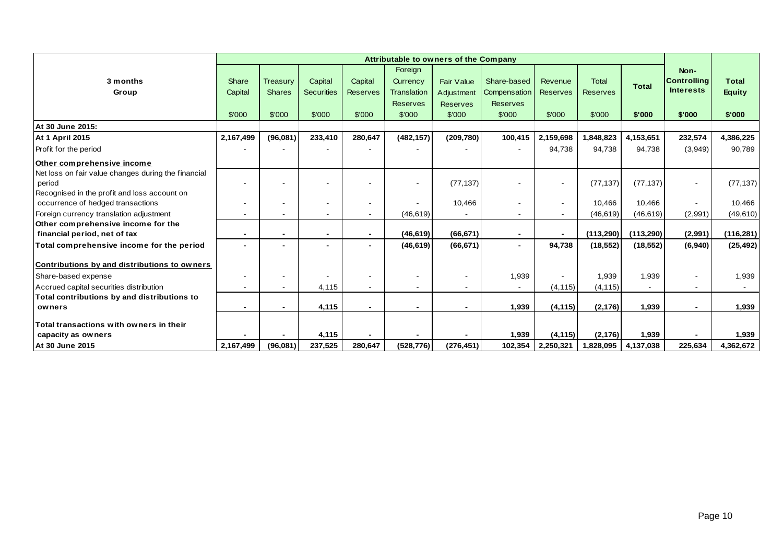|                                                     |           |                 |                          |                 |                    | Attributable to owners of the Company |                          |                          |                 |              |                          |               |
|-----------------------------------------------------|-----------|-----------------|--------------------------|-----------------|--------------------|---------------------------------------|--------------------------|--------------------------|-----------------|--------------|--------------------------|---------------|
|                                                     |           |                 |                          |                 | Foreign            |                                       |                          |                          |                 |              | Non-                     |               |
| 3 months                                            | Share     | <b>Treasury</b> | Capital                  | Capital         | Currency           | Fair Value                            | Share-based              | Revenue                  | <b>Total</b>    | <b>Total</b> | <b>Controlling</b>       | <b>Total</b>  |
| Group                                               | Capital   | <b>Shares</b>   | <b>Securities</b>        | <b>Reserves</b> | <b>Translation</b> | Adjustment                            | Compensation             | <b>Reserves</b>          | <b>Reserves</b> |              | <b>Interests</b>         | <b>Equity</b> |
|                                                     |           |                 |                          |                 | <b>Reserves</b>    | <b>Reserves</b>                       | <b>Reserves</b>          |                          |                 |              |                          |               |
|                                                     | \$'000    | \$'000          | \$'000                   | \$'000          | \$'000             | \$'000                                | \$'000                   | \$'000                   | \$'000          | \$'000       | \$'000                   | \$'000        |
| At 30 June 2015:                                    |           |                 |                          |                 |                    |                                       |                          |                          |                 |              |                          |               |
| <b>At 1 April 2015</b>                              | 2,167,499 | (96,081)        | 233,410                  | 280,647         | (482, 157)         | (209, 780)                            | 100,415                  | 2,159,698                | 1,848,823       | 4,153,651    | 232,574                  | 4,386,225     |
| Profit for the period                               |           |                 |                          |                 |                    |                                       |                          | 94,738                   | 94,738          | 94,738       | (3,949)                  | 90,789        |
| Other comprehensive income                          |           |                 |                          |                 |                    |                                       |                          |                          |                 |              |                          |               |
| Net loss on fair value changes during the financial |           |                 |                          |                 |                    |                                       |                          |                          |                 |              |                          |               |
| period                                              |           |                 |                          |                 |                    | (77, 137)                             |                          | $\overline{\phantom{a}}$ | (77, 137)       | (77, 137)    | $\overline{\phantom{a}}$ | (77, 137)     |
| Recognised in the profit and loss account on        |           |                 |                          |                 |                    |                                       |                          |                          |                 |              |                          |               |
| occurrence of hedged transactions                   |           |                 |                          |                 |                    | 10,466                                |                          | $\overline{\phantom{a}}$ | 10,466          | 10,466       |                          | 10,466        |
| Foreign currency translation adjustment             |           |                 | $\overline{\phantom{0}}$ |                 | (46, 619)          |                                       | $\overline{\phantom{a}}$ |                          | (46, 619)       | (46, 619)    | (2,991)                  | (49, 610)     |
| Other comprehensive income for the                  |           |                 |                          |                 |                    |                                       |                          |                          |                 |              |                          |               |
| financial period, net of tax                        |           |                 | $\blacksquare$           |                 | (46, 619)          | (66, 671)                             | $\sim$                   |                          | (113, 290)      | (113, 290)   | (2,991)                  | (116, 281)    |
| Total comprehensive income for the period           |           |                 | $\blacksquare$           |                 | (46, 619)          | (66, 671)                             | $\blacksquare$           | 94,738                   | (18, 552)       | (18, 552)    | (6, 940)                 | (25, 492)     |
| Contributions by and distributions to owners        |           |                 |                          |                 |                    |                                       |                          |                          |                 |              |                          |               |
| Share-based expense                                 |           |                 |                          |                 |                    | $\overline{\phantom{a}}$              | 1,939                    |                          | 1,939           | 1,939        | $\overline{\phantom{a}}$ | 1,939         |
| Accrued capital securities distribution             |           |                 | 4,115                    |                 |                    |                                       |                          | (4, 115)                 | (4, 115)        |              |                          |               |
| Total contributions by and distributions to         |           |                 |                          |                 |                    |                                       |                          |                          |                 |              |                          |               |
| owners                                              |           |                 | 4,115                    |                 |                    |                                       | 1,939                    | (4, 115)                 | (2, 176)        | 1,939        | $\blacksquare$           | 1,939         |
| Total transactions with owners in their             |           |                 |                          |                 |                    |                                       |                          |                          |                 |              |                          |               |
| capacity as owners                                  |           |                 | 4,115                    |                 |                    |                                       | 1,939                    | (4, 115)                 | (2, 176)        | 1,939        | $\blacksquare$           | 1,939         |
| At 30 June 2015                                     | 2,167,499 | (96,081)        | 237,525                  | 280.647         | (528, 776)         | (276, 451)                            | 102,354                  | 2,250,321                | 1,828,095       | 4,137,038    | 225,634                  | 4,362,672     |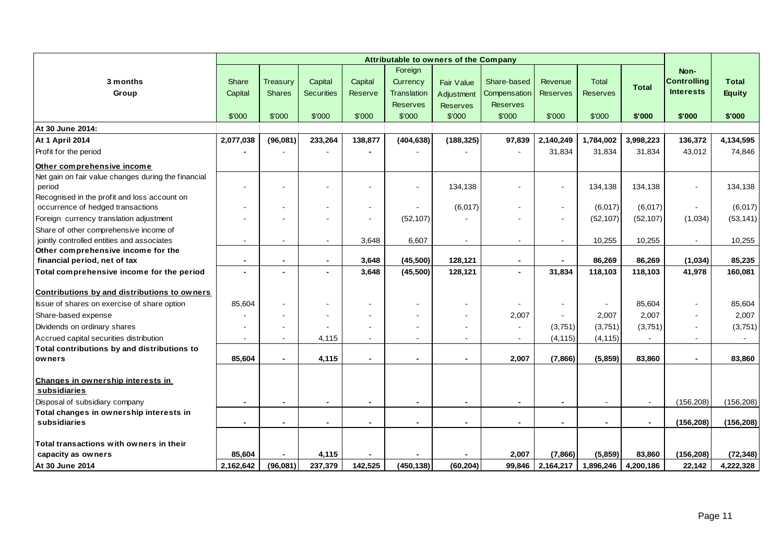|                                                     | Attributable to owners of the Company |                          |                          |                |                 |                 |                 |                 |                 |                |                    |               |
|-----------------------------------------------------|---------------------------------------|--------------------------|--------------------------|----------------|-----------------|-----------------|-----------------|-----------------|-----------------|----------------|--------------------|---------------|
|                                                     |                                       |                          |                          |                | Foreign         |                 |                 |                 |                 |                | Non-               |               |
| 3 months                                            | Share                                 | Treasury                 | Capital                  | Capital        | Currency        | Fair Value      | Share-based     | Revenue         | <b>Total</b>    | <b>Total</b>   | <b>Controlling</b> | <b>Total</b>  |
| Group                                               | Capital                               | <b>Shares</b>            | <b>Securities</b>        | <b>Reserve</b> | Translation     | Adjustment      | Compensation    | <b>Reserves</b> | <b>Reserves</b> |                | <b>Interests</b>   | <b>Equity</b> |
|                                                     |                                       |                          |                          |                | <b>Reserves</b> | <b>Reserves</b> | <b>Reserves</b> |                 |                 |                |                    |               |
|                                                     | \$'000                                | \$'000                   | \$'000                   | \$'000         | \$'000          | \$'000          | \$'000          | \$'000          | \$'000          | \$'000         | \$'000             | \$'000        |
| At 30 June 2014:                                    |                                       |                          |                          |                |                 |                 |                 |                 |                 |                |                    |               |
| <b>At 1 April 2014</b>                              | 2,077,038                             | (96,081)                 | 233,264                  | 138,877        | (404, 638)      | (188, 325)      | 97,839          | 2,140,249       | 1,784,002       | 3,998,223      | 136,372            | 4,134,595     |
| Profit for the period                               |                                       |                          |                          |                |                 |                 |                 | 31,834          | 31,834          | 31,834         | 43,012             | 74,846        |
| Other comprehensive income                          |                                       |                          |                          |                |                 |                 |                 |                 |                 |                |                    |               |
| Net gain on fair value changes during the financial |                                       |                          |                          |                |                 |                 |                 |                 |                 |                |                    |               |
| period                                              |                                       |                          |                          |                |                 | 134,138         |                 | $\blacksquare$  | 134,138         | 134,138        | $\blacksquare$     | 134,138       |
| Recognised in the profit and loss account on        |                                       |                          |                          |                |                 |                 |                 |                 |                 |                |                    |               |
| occurrence of hedged transactions                   |                                       |                          | $\blacksquare$           |                |                 | (6,017)         |                 | $\blacksquare$  | (6,017)         | (6,017)        | $\blacksquare$     | (6,017)       |
| Foreign currency translation adjustment             |                                       |                          |                          |                | (52, 107)       |                 |                 | $\blacksquare$  | (52, 107)       | (52, 107)      | (1,034)            | (53, 141)     |
| Share of other comprehensive income of              |                                       |                          |                          |                |                 |                 |                 |                 |                 |                |                    |               |
| jointly controlled entities and associates          |                                       |                          | $\sim$                   | 3,648          | 6,607           |                 | $\blacksquare$  | $\blacksquare$  | 10,255          | 10,255         | $\sim$             | 10,255        |
| Other comprehensive income for the                  |                                       |                          |                          |                |                 |                 |                 |                 |                 |                |                    |               |
| financial period, net of tax                        | $\blacksquare$                        | $\overline{\phantom{a}}$ | $\overline{\phantom{a}}$ | 3,648          | (45,500)        | 128,121         | $\sim$          | $\blacksquare$  | 86,269          | 86,269         | (1,034)            | 85,235        |
| Total comprehensive income for the period           |                                       |                          | $\blacksquare$           | 3,648          | (45,500)        | 128,121         | $\blacksquare$  | 31,834          | 118,103         | 118,103        | 41,978             | 160,081       |
| Contributions by and distributions to owners        |                                       |                          |                          |                |                 |                 |                 |                 |                 |                |                    |               |
| Issue of shares on exercise of share option         | 85,604                                |                          |                          |                |                 |                 |                 | $\blacksquare$  |                 | 85,604         | $\blacksquare$     | 85,604        |
| Share-based expense                                 |                                       |                          |                          |                |                 |                 | 2,007           |                 | 2,007           | 2,007          |                    | 2,007         |
| Dividends on ordinary shares                        |                                       |                          |                          |                |                 |                 |                 | (3,751)         | (3,751)         | (3,751)        | $\blacksquare$     | (3,751)       |
| Accrued capital securities distribution             |                                       |                          | 4,115                    |                |                 |                 |                 | (4, 115)        | (4, 115)        |                |                    |               |
| Total contributions by and distributions to         |                                       |                          |                          |                |                 |                 |                 |                 |                 |                |                    |               |
| owners                                              | 85,604                                |                          | 4,115                    | $\blacksquare$ |                 |                 | 2,007           | (7,866)         | (5,859)         | 83,860         | $\blacksquare$     | 83,860        |
| Changes in ownership interests in                   |                                       |                          |                          |                |                 |                 |                 |                 |                 |                |                    |               |
| subsidiaries                                        |                                       |                          |                          |                |                 |                 |                 |                 |                 |                |                    |               |
| Disposal of subsidiary company                      |                                       | $\blacksquare$           | $\blacksquare$           | $\blacksquare$ | $\blacksquare$  | $\blacksquare$  | $\blacksquare$  | $\blacksquare$  |                 |                | (156, 208)         | (156, 208)    |
| Total changes in ownership interests in             |                                       |                          |                          |                |                 |                 |                 |                 |                 |                |                    |               |
| subsidiaries                                        |                                       |                          |                          |                |                 |                 |                 | $\blacksquare$  |                 | $\blacksquare$ | (156, 208)         | (156, 208)    |
|                                                     |                                       |                          |                          |                |                 |                 |                 |                 |                 |                |                    |               |
| Total transactions with owners in their             |                                       |                          |                          |                |                 |                 |                 |                 |                 |                |                    |               |
| capacity as owners                                  | 85,604                                |                          | 4,115                    | 142,525        |                 |                 | 2,007           | (7,866)         | (5,859)         | 83,860         | (156, 208)         | (72, 348)     |
| At 30 June 2014                                     | 2,162,642                             | (96,081)                 | 237,379                  |                | (450, 138)      | (60, 204)       | 99.846          | 2,164,217       | 1.896.246       | 4,200,186      | 22.142             | 4,222,328     |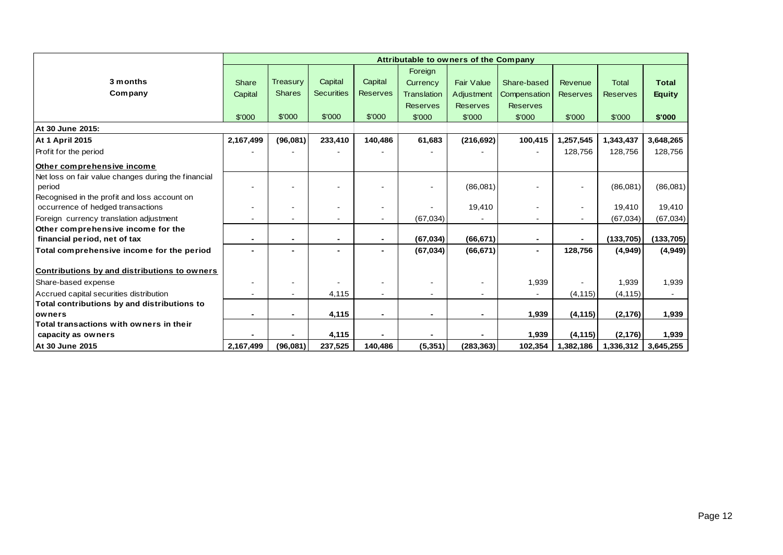|                                                     | Attributable to owners of the Company |                 |                   |                 |                    |                   |                 |                 |                 |              |
|-----------------------------------------------------|---------------------------------------|-----------------|-------------------|-----------------|--------------------|-------------------|-----------------|-----------------|-----------------|--------------|
|                                                     |                                       |                 |                   |                 | Foreign            |                   |                 |                 |                 |              |
| 3 months                                            | <b>Share</b>                          | <b>Treasury</b> | Capital           | Capital         | Currency           | <b>Fair Value</b> | Share-based     | Revenue         | <b>Total</b>    | <b>Total</b> |
| Company                                             | Capital                               | <b>Shares</b>   | <b>Securities</b> | <b>Reserves</b> | <b>Translation</b> | Adjustment        | Compensation    | <b>Reserves</b> | <b>Reserves</b> | Equity       |
|                                                     |                                       |                 |                   |                 | <b>Reserves</b>    | <b>Reserves</b>   | <b>Reserves</b> |                 |                 |              |
|                                                     | \$'000                                | \$'000          | \$'000            | \$'000          | \$'000             | \$'000            | \$'000          | \$'000          | \$'000          | \$'000       |
| At 30 June 2015:                                    |                                       |                 |                   |                 |                    |                   |                 |                 |                 |              |
| <b>At 1 April 2015</b>                              | 2,167,499                             | (96,081)        | 233,410           | 140,486         | 61,683             | (216, 692)        | 100,415         | 1,257,545       | 1,343,437       | 3,648,265    |
| Profit for the period                               |                                       |                 |                   |                 |                    |                   |                 | 128,756         | 128,756         | 128,756      |
| Other comprehensive income                          |                                       |                 |                   |                 |                    |                   |                 |                 |                 |              |
| Net loss on fair value changes during the financial |                                       |                 |                   |                 |                    |                   |                 |                 |                 |              |
| period                                              |                                       |                 |                   |                 |                    | (86,081)          |                 |                 | (86,081)        | (86,081)     |
| Recognised in the profit and loss account on        |                                       |                 |                   |                 |                    |                   |                 |                 |                 |              |
| occurrence of hedged transactions                   |                                       |                 |                   |                 |                    | 19,410            |                 |                 | 19,410          | 19,410       |
| Foreign currency translation adjustment             |                                       |                 |                   |                 | (67, 034)          |                   |                 |                 | (67, 034)       | (67, 034)    |
| Other comprehensive income for the                  |                                       |                 |                   |                 |                    |                   |                 |                 |                 |              |
| financial period, net of tax                        |                                       |                 |                   |                 | (67, 034)          | (66, 671)         |                 |                 | (133, 705)      | (133, 705)   |
| Total comprehensive income for the period           |                                       |                 |                   | -               | (67, 034)          | (66, 671)         | $\blacksquare$  | 128,756         | (4,949)         | (4,949)      |
|                                                     |                                       |                 |                   |                 |                    |                   |                 |                 |                 |              |
| Contributions by and distributions to owners        |                                       |                 |                   |                 |                    |                   |                 |                 |                 |              |
| Share-based expense                                 |                                       |                 |                   |                 |                    |                   | 1,939           |                 | 1,939           | 1,939        |
| Accrued capital securities distribution             |                                       |                 | 4,115             |                 |                    |                   |                 | (4, 115)        | (4, 115)        |              |
| Total contributions by and distributions to         |                                       |                 |                   |                 |                    |                   |                 |                 |                 |              |
| <b>lowners</b>                                      |                                       |                 | 4,115             | -               | $\blacksquare$     |                   | 1,939           | (4, 115)        | (2, 176)        | 1,939        |
| Total transactions with owners in their             |                                       |                 |                   |                 |                    |                   |                 |                 |                 |              |
| capacity as owners                                  |                                       |                 | 4,115             |                 |                    |                   | 1,939           | (4, 115)        | (2, 176)        | 1,939        |
| At 30 June 2015                                     | 2,167,499                             | (96,081)        | 237,525           | 140,486         | (5, 351)           | (283, 363)        | 102,354         | 1,382,186       | 1,336,312       | 3,645,255    |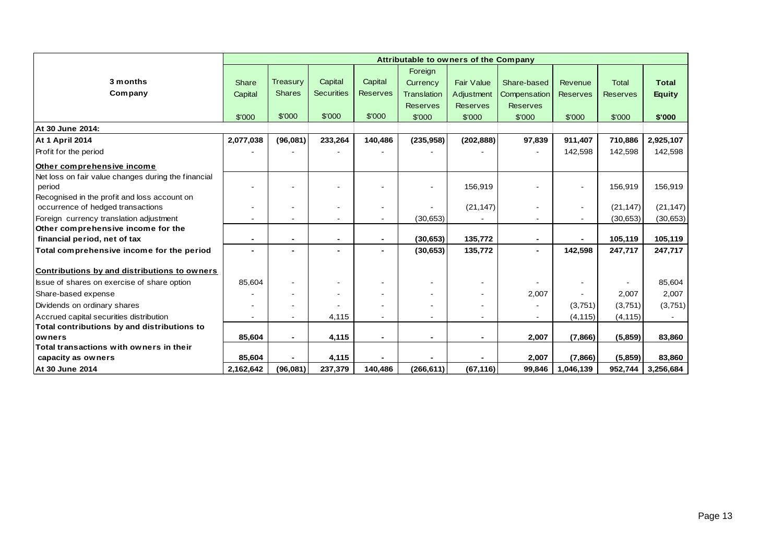|                                                     | Attributable to owners of the Company |                 |                   |                 |                    |                   |                 |                          |                 |               |
|-----------------------------------------------------|---------------------------------------|-----------------|-------------------|-----------------|--------------------|-------------------|-----------------|--------------------------|-----------------|---------------|
|                                                     |                                       |                 |                   |                 | Foreign            |                   |                 |                          |                 |               |
| 3 months                                            | Share                                 | <b>Treasury</b> | Capital           | Capital         | Currency           | <b>Fair Value</b> | Share-based     | Revenue                  | <b>Total</b>    | <b>Total</b>  |
| Company                                             | Capital                               | <b>Shares</b>   | <b>Securities</b> | <b>Reserves</b> | <b>Translation</b> | Adjustment        | Compensation    | <b>Reserves</b>          | <b>Reserves</b> | <b>Equity</b> |
|                                                     |                                       |                 |                   |                 | <b>Reserves</b>    | <b>Reserves</b>   | <b>Reserves</b> |                          |                 |               |
|                                                     | \$'000                                | \$'000          | \$'000            | \$'000          | \$'000             | \$'000            | \$'000          | \$'000                   | \$'000          | \$'000        |
| At 30 June 2014:                                    |                                       |                 |                   |                 |                    |                   |                 |                          |                 |               |
| <b>At 1 April 2014</b>                              | 2,077,038                             | (96,081)        | 233,264           | 140,486         | (235, 958)         | (202, 888)        | 97,839          | 911.407                  | 710,886         | 2,925,107     |
| Profit for the period                               |                                       |                 |                   |                 |                    |                   |                 | 142,598                  | 142,598         | 142,598       |
| Other comprehensive income                          |                                       |                 |                   |                 |                    |                   |                 |                          |                 |               |
| Net loss on fair value changes during the financial |                                       |                 |                   |                 |                    |                   |                 |                          |                 |               |
| period                                              |                                       |                 |                   |                 | $\blacksquare$     | 156,919           |                 | $\blacksquare$           | 156,919         | 156,919       |
| Recognised in the profit and loss account on        |                                       |                 |                   |                 |                    |                   |                 |                          |                 |               |
| occurrence of hedged transactions                   |                                       |                 |                   |                 |                    | (21, 147)         |                 | $\overline{\phantom{a}}$ | (21, 147)       | (21, 147)     |
| Foreign currency translation adjustment             |                                       |                 |                   |                 | (30, 653)          |                   |                 |                          | (30, 653)       | (30, 653)     |
| Other comprehensive income for the                  |                                       |                 |                   |                 |                    |                   |                 |                          |                 |               |
| financial period, net of tax                        | $\blacksquare$                        |                 |                   |                 | (30, 653)          | 135,772           | $\blacksquare$  |                          | 105,119         | 105,119       |
| Total comprehensive income for the period           |                                       |                 |                   |                 | (30, 653)          | 135,772           | $\blacksquare$  | 142,598                  | 247,717         | 247,717       |
| Contributions by and distributions to owners        |                                       |                 |                   |                 |                    |                   |                 |                          |                 |               |
| Issue of shares on exercise of share option         | 85,604                                |                 |                   |                 |                    |                   |                 |                          |                 | 85,604        |
| Share-based expense                                 |                                       |                 |                   |                 |                    |                   | 2,007           |                          | 2,007           | 2,007         |
| Dividends on ordinary shares                        |                                       |                 |                   |                 |                    |                   |                 | (3,751)                  | (3,751)         | (3,751)       |
| Accrued capital securities distribution             |                                       |                 | 4,115             |                 |                    |                   |                 | (4, 115)                 | (4, 115)        |               |
| Total contributions by and distributions to         |                                       |                 |                   |                 |                    |                   |                 |                          |                 |               |
| owners                                              | 85,604                                |                 | 4,115             |                 | -                  |                   | 2,007           | (7,866)                  | (5,859)         | 83,860        |
| Total transactions with owners in their             |                                       |                 |                   |                 |                    |                   |                 |                          |                 |               |
| capacity as owners                                  | 85,604                                |                 | 4,115             |                 |                    |                   | 2,007           | (7,866)                  | (5,859)         | 83,860        |
| At 30 June 2014                                     | 2,162,642                             | (96,081)        | 237,379           | 140,486         | (266, 611)         | (67, 116)         | 99,846          | 1,046,139                | 952,744         | 3,256,684     |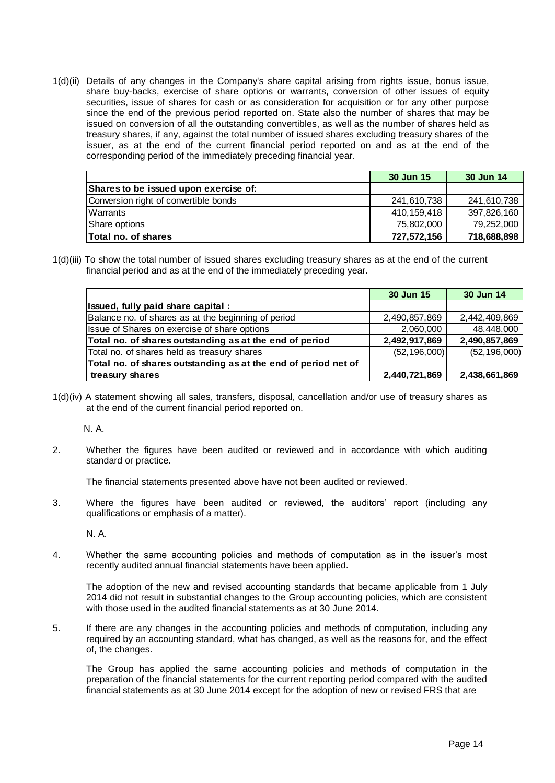1(d)(ii) Details of any changes in the Company's share capital arising from rights issue, bonus issue, share buy-backs, exercise of share options or warrants, conversion of other issues of equity securities, issue of shares for cash or as consideration for acquisition or for any other purpose since the end of the previous period reported on. State also the number of shares that may be issued on conversion of all the outstanding convertibles, as well as the number of shares held as treasury shares, if any, against the total number of issued shares excluding treasury shares of the issuer, as at the end of the current financial period reported on and as at the end of the corresponding period of the immediately preceding financial year.

|                                       | 30 Jun 15   | 30 Jun 14   |
|---------------------------------------|-------------|-------------|
| Shares to be issued upon exercise of: |             |             |
| Conversion right of convertible bonds | 241,610,738 | 241,610,738 |
| Warrants                              | 410.159.418 | 397,826,160 |
| Share options                         | 75,802,000  | 79,252,000  |
| <b>Total no. of shares</b>            | 727,572,156 | 718,688,898 |

1(d)(iii) To show the total number of issued shares excluding treasury shares as at the end of the current financial period and as at the end of the immediately preceding year.

|                                                                | 30 Jun 15      | 30 Jun 14      |
|----------------------------------------------------------------|----------------|----------------|
| Issued, fully paid share capital :                             |                |                |
| Balance no. of shares as at the beginning of period            | 2,490,857,869  | 2,442,409,869  |
| Issue of Shares on exercise of share options                   | 2,060,000      | 48,448,000     |
| Total no. of shares outstanding as at the end of period        | 2,492,917,869  | 2,490,857,869  |
| Total no. of shares held as treasury shares                    | (52, 196, 000) | (52, 196, 000) |
| Total no. of shares outstanding as at the end of period net of |                |                |
| treasury shares                                                | 2,440,721,869  | 2,438,661,869  |

1(d)(iv) A statement showing all sales, transfers, disposal, cancellation and/or use of treasury shares as at the end of the current financial period reported on.

N. A.

2. Whether the figures have been audited or reviewed and in accordance with which auditing standard or practice.

The financial statements presented above have not been audited or reviewed.

3. Where the figures have been audited or reviewed, the auditors' report (including any qualifications or emphasis of a matter).

N. A.

4. Whether the same accounting policies and methods of computation as in the issuer's most recently audited annual financial statements have been applied.

The adoption of the new and revised accounting standards that became applicable from 1 July 2014 did not result in substantial changes to the Group accounting policies, which are consistent with those used in the audited financial statements as at 30 June 2014.

5. If there are any changes in the accounting policies and methods of computation, including any required by an accounting standard, what has changed, as well as the reasons for, and the effect of, the changes.

The Group has applied the same accounting policies and methods of computation in the preparation of the financial statements for the current reporting period compared with the audited financial statements as at 30 June 2014 except for the adoption of new or revised FRS that are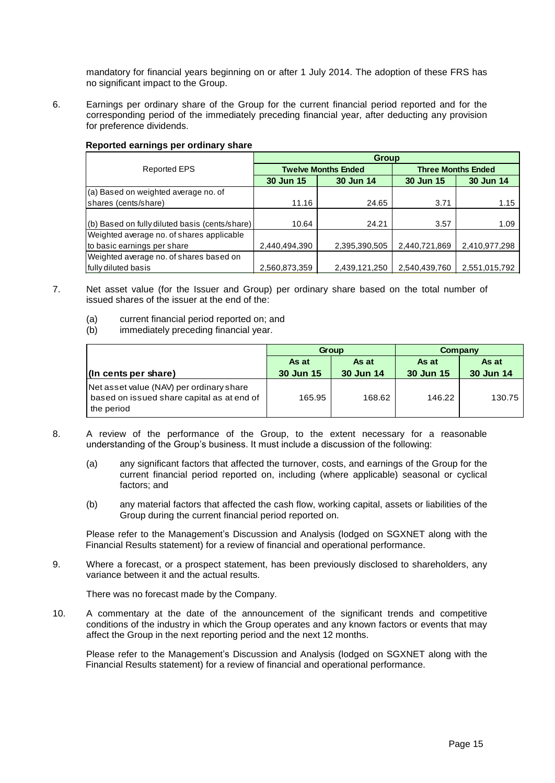mandatory for financial years beginning on or after 1 July 2014. The adoption of these FRS has no significant impact to the Group.

6. Earnings per ordinary share of the Group for the current financial period reported and for the corresponding period of the immediately preceding financial year, after deducting any provision for preference dividends.

|                                                | <b>Group</b>  |                            |                           |               |  |  |  |  |
|------------------------------------------------|---------------|----------------------------|---------------------------|---------------|--|--|--|--|
| <b>Reported EPS</b>                            |               | <b>Twelve Months Ended</b> | <b>Three Months Ended</b> |               |  |  |  |  |
|                                                | 30 Jun 15     | 30 Jun 14                  | 30 Jun 15                 | 30 Jun 14     |  |  |  |  |
| (a) Based on weighted average no. of           |               |                            |                           |               |  |  |  |  |
| shares (cents/share)                           | 11.16         | 24.65                      | 3.71                      | 1.15          |  |  |  |  |
|                                                |               |                            |                           |               |  |  |  |  |
| (b) Based on fully diluted basis (cents/share) | 10.64         | 24.21                      | 3.57                      | 1.09          |  |  |  |  |
| Weighted average no. of shares applicable      |               |                            |                           |               |  |  |  |  |
| to basic earnings per share                    | 2,440,494,390 | 2,395,390,505              | 2,440,721,869             | 2,410,977,298 |  |  |  |  |
| Weighted average no. of shares based on        |               |                            |                           |               |  |  |  |  |
| fully diluted basis                            | 2,560,873,359 | 2,439,121,250              | 2,540,439,760             | 2,551,015,792 |  |  |  |  |

### **Reported earnings per ordinary share**

- 7. Net asset value (for the Issuer and Group) per ordinary share based on the total number of issued shares of the issuer at the end of the:
	- (a) current financial period reported on; and<br>(b) immediately preceding financial year.
	- immediately preceding financial year.

|                                                                                                      |           | Group     | Company   |           |  |
|------------------------------------------------------------------------------------------------------|-----------|-----------|-----------|-----------|--|
|                                                                                                      | As at     | As at     | As at     | As at     |  |
| (In cents per share)                                                                                 | 30 Jun 15 | 30 Jun 14 | 30 Jun 15 | 30 Jun 14 |  |
| Net asset value (NAV) per ordinary share<br>based on issued share capital as at end of<br>the period | 165.95    | 168.62    | 146.22    | 130.75    |  |

- 8. A review of the performance of the Group, to the extent necessary for a reasonable understanding of the Group's business. It must include a discussion of the following:
	- (a) any significant factors that affected the turnover, costs, and earnings of the Group for the current financial period reported on, including (where applicable) seasonal or cyclical factors; and
	- (b) any material factors that affected the cash flow, working capital, assets or liabilities of the Group during the current financial period reported on.

Please refer to the Management's Discussion and Analysis (lodged on SGXNET along with the Financial Results statement) for a review of financial and operational performance.

9. Where a forecast, or a prospect statement, has been previously disclosed to shareholders, any variance between it and the actual results.

There was no forecast made by the Company.

10. A commentary at the date of the announcement of the significant trends and competitive conditions of the industry in which the Group operates and any known factors or events that may affect the Group in the next reporting period and the next 12 months.

Please refer to the Management's Discussion and Analysis (lodged on SGXNET along with the Financial Results statement) for a review of financial and operational performance.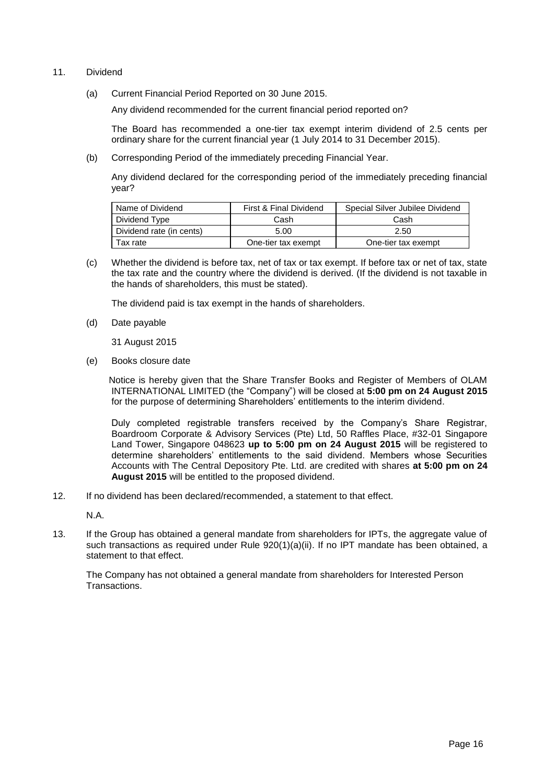- 11. Dividend
	- (a) Current Financial Period Reported on 30 June 2015.

Any dividend recommended for the current financial period reported on?

The Board has recommended a one-tier tax exempt interim dividend of 2.5 cents per ordinary share for the current financial year (1 July 2014 to 31 December 2015).

(b) Corresponding Period of the immediately preceding Financial Year.

Any dividend declared for the corresponding period of the immediately preceding financial year?

| Name of Dividend         | First & Final Dividend | Special Silver Jubilee Dividend |
|--------------------------|------------------------|---------------------------------|
| Dividend Type            | Cash                   | Cash                            |
| Dividend rate (in cents) | 5.00                   | 2.50                            |
| Tax rate                 | One-tier tax exempt    | One-tier tax exempt             |

(c) Whether the dividend is before tax, net of tax or tax exempt. If before tax or net of tax, state the tax rate and the country where the dividend is derived. (If the dividend is not taxable in the hands of shareholders, this must be stated).

The dividend paid is tax exempt in the hands of shareholders.

(d) Date payable

31 August 2015

(e) Books closure date

 Notice is hereby given that the Share Transfer Books and Register of Members of OLAM INTERNATIONAL LIMITED (the "Company") will be closed at **5:00 pm on 24 August 2015** for the purpose of determining Shareholders' entitlements to the interim dividend.

Duly completed registrable transfers received by the Company's Share Registrar, Boardroom Corporate & Advisory Services (Pte) Ltd, 50 Raffles Place, #32-01 Singapore Land Tower, Singapore 048623 **up to 5:00 pm on 24 August 2015** will be registered to determine shareholders' entitlements to the said dividend. Members whose Securities Accounts with The Central Depository Pte. Ltd. are credited with shares **at 5:00 pm on 24 August 2015** will be entitled to the proposed dividend.

12. If no dividend has been declared/recommended, a statement to that effect.

N.A.

13. If the Group has obtained a general mandate from shareholders for IPTs, the aggregate value of such transactions as required under Rule 920(1)(a)(ii). If no IPT mandate has been obtained, a statement to that effect.

The Company has not obtained a general mandate from shareholders for Interested Person Transactions.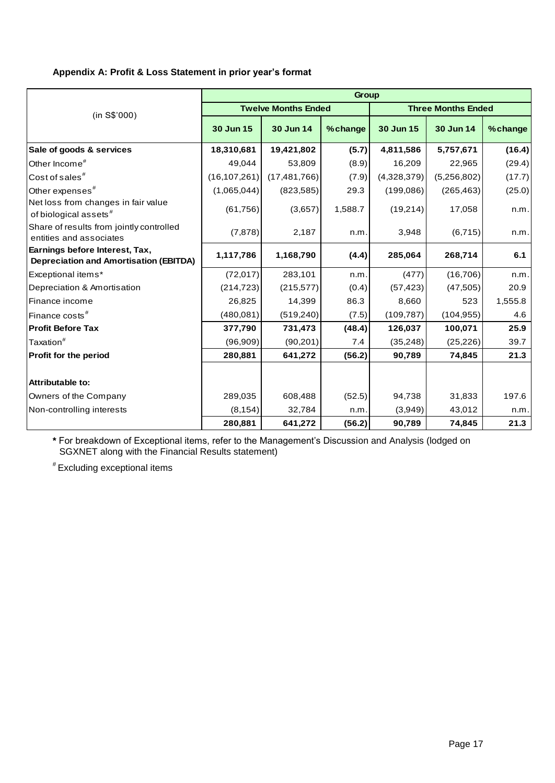## **Appendix A: Profit & Loss Statement in prior year's format**

|                                                                                 | Group          |                            |         |             |                           |          |  |  |  |
|---------------------------------------------------------------------------------|----------------|----------------------------|---------|-------------|---------------------------|----------|--|--|--|
| (in S\$'000)                                                                    |                | <b>Twelve Months Ended</b> |         |             | <b>Three Months Ended</b> |          |  |  |  |
|                                                                                 | 30 Jun 15      | 30 Jun 14                  | %change | 30 Jun 15   | 30 Jun 14                 | % change |  |  |  |
| Sale of goods & services                                                        | 18,310,681     | 19,421,802                 | (5.7)   | 4,811,586   | 5,757,671                 | (16.4)   |  |  |  |
| Other Income <sup>#</sup>                                                       | 49,044         | 53,809                     | (8.9)   | 16,209      | 22,965                    | (29.4)   |  |  |  |
| Cost of sales <sup>#</sup>                                                      | (16, 107, 261) | (17, 481, 766)             | (7.9)   | (4,328,379) | (5,256,802)               | (17.7)   |  |  |  |
| Other expenses <sup>#</sup>                                                     | (1,065,044)    | (823,585)                  | 29.3    | (199,086)   | (265, 463)                | (25.0)   |  |  |  |
| Net loss from changes in fair value<br>of biological assets <sup>#</sup>        | (61, 756)      | (3,657)                    | 1,588.7 | (19,214)    | 17,058                    | n.m.     |  |  |  |
| Share of results from jointly controlled<br>entities and associates             | (7, 878)       | 2,187                      | n.m.    | 3,948       | (6,715)                   | n.m.     |  |  |  |
| Earnings before Interest, Tax,<br><b>Depreciation and Amortisation (EBITDA)</b> | 1,117,786      | 1,168,790                  | (4.4)   | 285,064     | 268,714                   | 6.1      |  |  |  |
| Exceptional items*                                                              | (72, 017)      | 283,101                    | n.m.    | (477)       | (16, 706)                 | n.m.     |  |  |  |
| Depreciation & Amortisation                                                     | (214, 723)     | (215, 577)                 | (0.4)   | (57, 423)   | (47, 505)                 | 20.9     |  |  |  |
| Finance income                                                                  | 26,825         | 14,399                     | 86.3    | 8,660       | 523                       | 1,555.8  |  |  |  |
| Finance costs <sup>#</sup>                                                      | (480, 081)     | (519, 240)                 | (7.5)   | (109, 787)  | (104, 955)                | 4.6      |  |  |  |
| <b>Profit Before Tax</b>                                                        | 377,790        | 731,473                    | (48.4)  | 126,037     | 100,071                   | 25.9     |  |  |  |
| Taxation <sup>#</sup>                                                           | (96,909)       | (90, 201)                  | 7.4     | (35, 248)   | (25, 226)                 | 39.7     |  |  |  |
| <b>Profit for the period</b>                                                    | 280,881        | 641,272                    | (56.2)  | 90,789      | 74,845                    | 21.3     |  |  |  |
|                                                                                 |                |                            |         |             |                           |          |  |  |  |
| <b>Attributable to:</b>                                                         |                |                            |         |             |                           |          |  |  |  |
| Owners of the Company                                                           | 289,035        | 608,488                    | (52.5)  | 94,738      | 31,833                    | 197.6    |  |  |  |
| Non-controlling interests                                                       | (8, 154)       | 32,784                     | n.m.    | (3,949)     | 43,012                    | n.m.     |  |  |  |
|                                                                                 | 280,881        | 641,272                    | (56.2)  | 90,789      | 74,845                    | 21.3     |  |  |  |

**\*** For breakdown of Exceptional items, refer to the Management's Discussion and Analysis (lodged on SGXNET along with the Financial Results statement)

# Excluding exceptional items